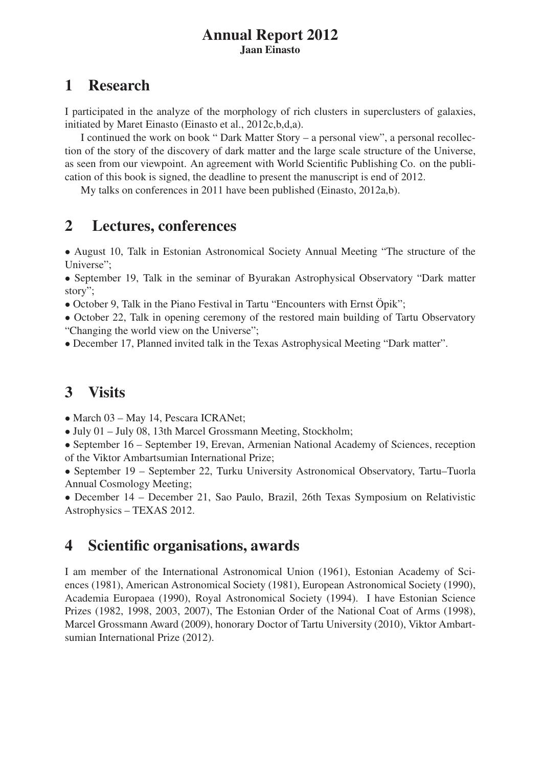#### Annual Report 2012 Jaan Einasto

## 1 Research

I participated in the analyze of the morphology of rich clusters in superclusters of galaxies, initiated by Maret Einasto (Einasto et al., 2012c,b,d,a).

I continued the work on book " Dark Matter Story – a personal view", a personal recollection of the story of the discovery of dark matter and the large scale structure of the Universe, as seen from our viewpoint. An agreement with World Scientific Publishing Co. on the publication of this book is signed, the deadline to present the manuscript is end of 2012.

My talks on conferences in 2011 have been published (Einasto, 2012a,b).

### 2 Lectures, conferences

• August 10, Talk in Estonian Astronomical Society Annual Meeting "The structure of the Universe";

• September 19, Talk in the seminar of Byurakan Astrophysical Observatory "Dark matter story";

• October 9, Talk in the Piano Festival in Tartu "Encounters with Ernst Öpik";

• October 22, Talk in opening ceremony of the restored main building of Tartu Observatory "Changing the world view on the Universe";

• December 17, Planned invited talk in the Texas Astrophysical Meeting "Dark matter".

# 3 Visits

• March 03 – May 14, Pescara ICRANet;

• July 01 – July 08, 13th Marcel Grossmann Meeting, Stockholm;

• September 16 – September 19, Erevan, Armenian National Academy of Sciences, reception of the Viktor Ambartsumian International Prize;

• September 19 – September 22, Turku University Astronomical Observatory, Tartu–Tuorla Annual Cosmology Meeting;

• December 14 – December 21, Sao Paulo, Brazil, 26th Texas Symposium on Relativistic Astrophysics – TEXAS 2012.

## 4 Scientific organisations, awards

I am member of the International Astronomical Union (1961), Estonian Academy of Sciences (1981), American Astronomical Society (1981), European Astronomical Society (1990), Academia Europaea (1990), Royal Astronomical Society (1994). I have Estonian Science Prizes (1982, 1998, 2003, 2007), The Estonian Order of the National Coat of Arms (1998), Marcel Grossmann Award (2009), honorary Doctor of Tartu University (2010), Viktor Ambartsumian International Prize (2012).